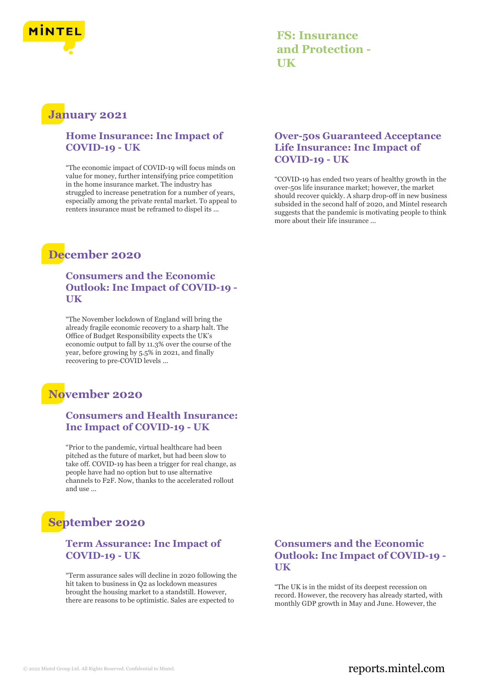

**FS: Insurance and Protection - UK**

### **January 2021**

#### **Home Insurance: Inc Impact of COVID-19 - UK**

"The economic impact of COVID-19 will focus minds on value for money, further intensifying price competition in the home insurance market. The industry has struggled to increase penetration for a number of years, especially among the private rental market. To appeal to renters insurance must be reframed to dispel its ...

# **December 2020**

### **Consumers and the Economic Outlook: Inc Impact of COVID-19 - UK**

"The November lockdown of England will bring the already fragile economic recovery to a sharp halt. The Office of Budget Responsibility expects the UK's economic output to fall by 11.3% over the course of the year, before growing by 5.5% in 2021, and finally recovering to pre-COVID levels ...

# **November 2020**

#### **Consumers and Health Insurance: Inc Impact of COVID-19 - UK**

"Prior to the pandemic, virtual healthcare had been pitched as the future of market, but had been slow to take off. COVID-19 has been a trigger for real change, as people have had no option but to use alternative channels to F2F. Now, thanks to the accelerated rollout and use ...

# **September 2020**

#### **Term Assurance: Inc Impact of COVID-19 - UK**

"Term assurance sales will decline in 2020 following the hit taken to business in Q2 as lockdown measures brought the housing market to a standstill. However, there are reasons to be optimistic. Sales are expected to

#### **Over-50s Guaranteed Acceptance Life Insurance: Inc Impact of COVID-19 - UK**

"COVID-19 has ended two years of healthy growth in the over-50s life insurance market; however, the market should recover quickly. A sharp drop-off in new business subsided in the second half of 2020, and Mintel research suggests that the pandemic is motivating people to think more about their life insurance ...

#### **Consumers and the Economic Outlook: Inc Impact of COVID-19 - UK**

"The UK is in the midst of its deepest recession on record. However, the recovery has already started, with monthly GDP growth in May and June. However, the

### © 2022 Mintel Group Ltd. All Rights Reserved. Confidential to Mintel.  $\blacksquare$  reports.mintel.com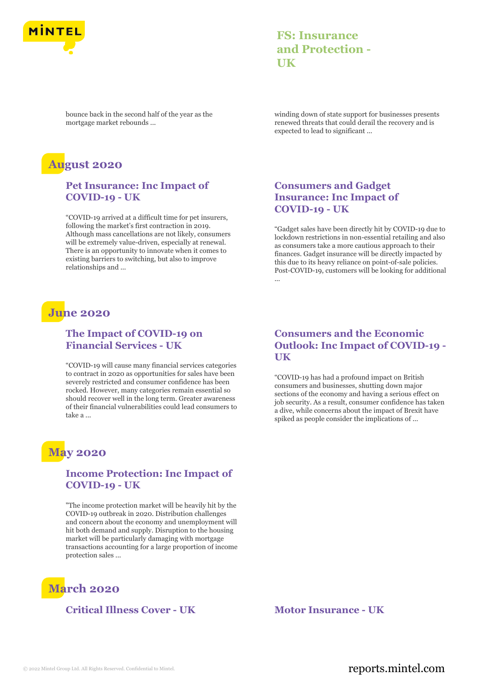

### **FS: Insurance and Protection - UK**

bounce back in the second half of the year as the mortgage market rebounds ...

# **August 2020**

#### **Pet Insurance: Inc Impact of COVID-19 - UK**

"COVID-19 arrived at a difficult time for pet insurers, following the market's first contraction in 2019. Although mass cancellations are not likely, consumers will be extremely value-driven, especially at renewal. There is an opportunity to innovate when it comes to existing barriers to switching, but also to improve relationships and ...

## **June 2020**

### **The Impact of COVID-19 on Financial Services - UK**

"COVID-19 will cause many financial services categories to contract in 2020 as opportunities for sales have been severely restricted and consumer confidence has been rocked. However, many categories remain essential so should recover well in the long term. Greater awareness of their financial vulnerabilities could lead consumers to take a ...

# **May 2020**

#### **Income Protection: Inc Impact of COVID-19 - UK**

"The income protection market will be heavily hit by the COVID-19 outbreak in 2020. Distribution challenges and concern about the economy and unemployment will hit both demand and supply. Disruption to the housing market will be particularly damaging with mortgage transactions accounting for a large proportion of income protection sales ...



#### **Critical Illness Cover - UK Motor Insurance - UK**

winding down of state support for businesses presents renewed threats that could derail the recovery and is expected to lead to significant ...

### **Consumers and Gadget Insurance: Inc Impact of COVID-19 - UK**

"Gadget sales have been directly hit by COVID-19 due to lockdown restrictions in non-essential retailing and also as consumers take a more cautious approach to their finances. Gadget insurance will be directly impacted by this due to its heavy reliance on point-of-sale policies. Post-COVID-19, customers will be looking for additional ...

### **Consumers and the Economic Outlook: Inc Impact of COVID-19 - UK**

"COVID-19 has had a profound impact on British consumers and businesses, shutting down major sections of the economy and having a serious effect on job security. As a result, consumer confidence has taken a dive, while concerns about the impact of Brexit have spiked as people consider the implications of ...